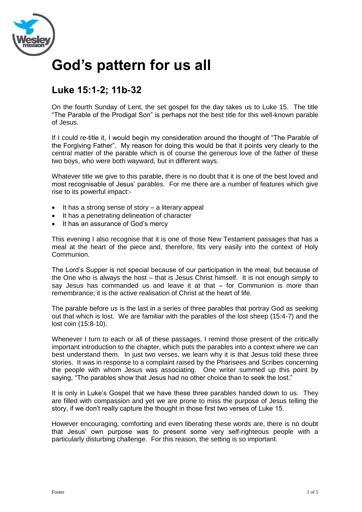

# **God's pattern for us all**

## **Luke 15:1-2; 11b-32**

On the fourth Sunday of Lent, the set gospel for the day takes us to Luke 15. The title "The Parable of the Prodigal Son" is perhaps not the best title for this well-known parable of Jesus.

If I could re-title it, I would begin my consideration around the thought of "The Parable of the Forgiving Father". My reason for doing this would be that it points very clearly to the central matter of the parable which is of course the generous love of the father of these two boys, who were both wayward, but in different ways.

Whatever title we give to this parable, there is no doubt that it is one of the best loved and most recognisable of Jesus' parables. For me there are a number of features which give rise to its powerful impact:-

- $\bullet$  It has a strong sense of story a literary appeal
- It has a penetrating delineation of character
- It has an assurance of God's mercy

This evening I also recognise that it is one of those New Testament passages that has a meal at the heart of the piece and, therefore, fits very easily into the context of Holy Communion.

The Lord's Supper is not special because of our participation in the meal, but because of the One who is always the host – that is Jesus Christ himself. It is not enough simply to say Jesus has commanded us and leave it at that – for Communion is more than remembrance; it is the active realisation of Christ at the heart of life.

The parable before us is the last in a series of three parables that portray God as seeking out that which is lost. We are familiar with the parables of the lost sheep (15:4-7) and the lost coin (15:8-10).

Whenever I turn to each or all of these passages, I remind those present of the critically important introduction to the chapter, which puts the parables into a context where we can best understand them. In just two verses, we learn why it is that Jesus told these three stories. It was in response to a complaint raised by the Pharisees and Scribes concerning the people with whom Jesus was associating. One writer summed up this point by saying, "The parables show that Jesus had no other choice than to seek the lost."

It is only in Luke's Gospel that we have these three parables handed down to us. They are filled with compassion and yet we are prone to miss the purpose of Jesus telling the story, if we don't really capture the thought in those first two verses of Luke 15.

However encouraging, comforting and even liberating these words are, there is no doubt that Jesus' own purpose was to present some very self-righteous people with a particularly disturbing challenge. For this reason, the setting is so important.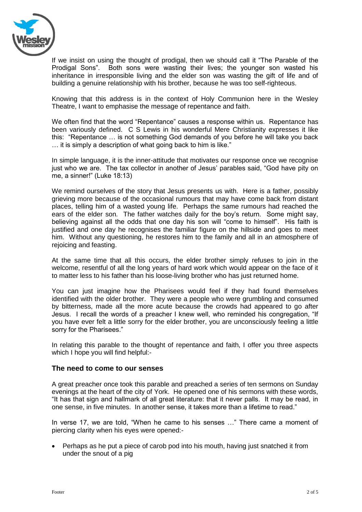

If we insist on using the thought of prodigal, then we should call it "The Parable of the Prodigal Sons". Both sons were wasting their lives; the younger son wasted his inheritance in irresponsible living and the elder son was wasting the gift of life and of building a genuine relationship with his brother, because he was too self-righteous.

Knowing that this address is in the context of Holy Communion here in the Wesley Theatre, I want to emphasise the message of repentance and faith.

We often find that the word "Repentance" causes a response within us. Repentance has been variously defined. C S Lewis in his wonderful Mere Christianity expresses it like this: "Repentance … is not something God demands of you before he will take you back … it is simply a description of what going back to him is like."

In simple language, it is the inner-attitude that motivates our response once we recognise just who we are. The tax collector in another of Jesus' parables said, "God have pity on me, a sinner!" (Luke 18:13)

We remind ourselves of the story that Jesus presents us with. Here is a father, possibly grieving more because of the occasional rumours that may have come back from distant places, telling him of a wasted young life. Perhaps the same rumours had reached the ears of the elder son. The father watches daily for the boy's return. Some might say, believing against all the odds that one day his son will "come to himself". His faith is justified and one day he recognises the familiar figure on the hillside and goes to meet him. Without any questioning, he restores him to the family and all in an atmosphere of rejoicing and feasting.

At the same time that all this occurs, the elder brother simply refuses to join in the welcome, resentful of all the long years of hard work which would appear on the face of it to matter less to his father than his loose-living brother who has just returned home.

You can just imagine how the Pharisees would feel if they had found themselves identified with the older brother. They were a people who were grumbling and consumed by bitterness, made all the more acute because the crowds had appeared to go after Jesus. I recall the words of a preacher I knew well, who reminded his congregation, "If you have ever felt a little sorry for the elder brother, you are unconsciously feeling a little sorry for the Pharisees."

In relating this parable to the thought of repentance and faith, I offer you three aspects which I hope you will find helpful:-

#### **The need to come to our senses**

A great preacher once took this parable and preached a series of ten sermons on Sunday evenings at the heart of the city of York. He opened one of his sermons with these words, "It has that sign and hallmark of all great literature: that it never palls. It may be read, in one sense, in five minutes. In another sense, it takes more than a lifetime to read."

In verse 17, we are told, "When he came to his senses …" There came a moment of piercing clarity when his eyes were opened:-

 Perhaps as he put a piece of carob pod into his mouth, having just snatched it from under the snout of a pig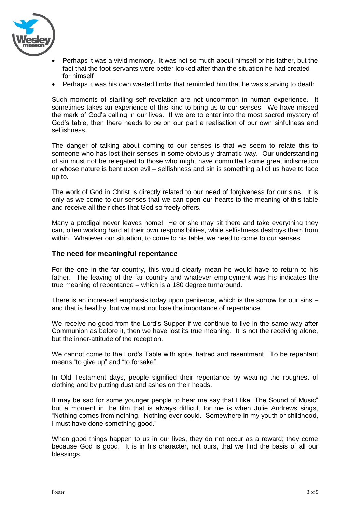

- Perhaps it was a vivid memory. It was not so much about himself or his father, but the fact that the foot-servants were better looked after than the situation he had created for himself
- Perhaps it was his own wasted limbs that reminded him that he was starving to death

Such moments of startling self-revelation are not uncommon in human experience. It sometimes takes an experience of this kind to bring us to our senses. We have missed the mark of God's calling in our lives. If we are to enter into the most sacred mystery of God's table, then there needs to be on our part a realisation of our own sinfulness and selfishness.

The danger of talking about coming to our senses is that we seem to relate this to someone who has lost their senses in some obviously dramatic way. Our understanding of sin must not be relegated to those who might have committed some great indiscretion or whose nature is bent upon evil – selfishness and sin is something all of us have to face up to.

The work of God in Christ is directly related to our need of forgiveness for our sins. It is only as we come to our senses that we can open our hearts to the meaning of this table and receive all the riches that God so freely offers.

Many a prodigal never leaves home! He or she may sit there and take everything they can, often working hard at their own responsibilities, while selfishness destroys them from within. Whatever our situation, to come to his table, we need to come to our senses.

#### **The need for meaningful repentance**

For the one in the far country, this would clearly mean he would have to return to his father. The leaving of the far country and whatever employment was his indicates the true meaning of repentance – which is a 180 degree turnaround.

There is an increased emphasis today upon penitence, which is the sorrow for our sins – and that is healthy, but we must not lose the importance of repentance.

We receive no good from the Lord's Supper if we continue to live in the same way after Communion as before it, then we have lost its true meaning. It is not the receiving alone, but the inner-attitude of the reception.

We cannot come to the Lord's Table with spite, hatred and resentment. To be repentant means "to give up" and "to forsake".

In Old Testament days, people signified their repentance by wearing the roughest of clothing and by putting dust and ashes on their heads.

It may be sad for some younger people to hear me say that I like "The Sound of Music" but a moment in the film that is always difficult for me is when Julie Andrews sings, "Nothing comes from nothing. Nothing ever could. Somewhere in my youth or childhood, I must have done something good."

When good things happen to us in our lives, they do not occur as a reward; they come because God is good. It is in his character, not ours, that we find the basis of all our blessings.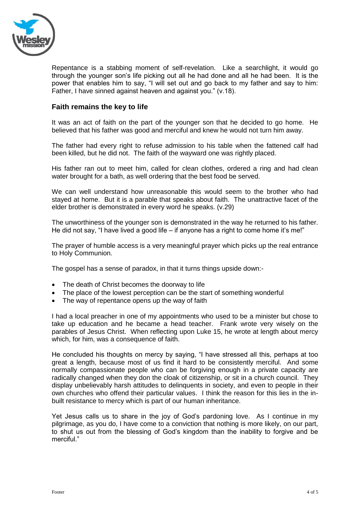

Repentance is a stabbing moment of self-revelation. Like a searchlight, it would go through the younger son's life picking out all he had done and all he had been. It is the power that enables him to say, "I will set out and go back to my father and say to him: Father, I have sinned against heaven and against you." (v.18).

### **Faith remains the key to life**

It was an act of faith on the part of the younger son that he decided to go home. He believed that his father was good and merciful and knew he would not turn him away.

The father had every right to refuse admission to his table when the fattened calf had been killed, but he did not. The faith of the wayward one was rightly placed.

His father ran out to meet him, called for clean clothes, ordered a ring and had clean water brought for a bath, as well ordering that the best food be served.

We can well understand how unreasonable this would seem to the brother who had stayed at home. But it is a parable that speaks about faith. The unattractive facet of the elder brother is demonstrated in every word he speaks. (v.29)

The unworthiness of the younger son is demonstrated in the way he returned to his father. He did not say, "I have lived a good life – if anyone has a right to come home it's me!"

The prayer of humble access is a very meaningful prayer which picks up the real entrance to Holy Communion.

The gospel has a sense of paradox, in that it turns things upside down:-

- The death of Christ becomes the doorway to life
- The place of the lowest perception can be the start of something wonderful
- The way of repentance opens up the way of faith

I had a local preacher in one of my appointments who used to be a minister but chose to take up education and he became a head teacher. Frank wrote very wisely on the parables of Jesus Christ. When reflecting upon Luke 15, he wrote at length about mercy which, for him, was a consequence of faith.

He concluded his thoughts on mercy by saying, "I have stressed all this, perhaps at too great a length, because most of us find it hard to be consistently merciful. And some normally compassionate people who can be forgiving enough in a private capacity are radically changed when they don the cloak of citizenship, or sit in a church council. They display unbelievably harsh attitudes to delinquents in society, and even to people in their own churches who offend their particular values. I think the reason for this lies in the inbuilt resistance to mercy which is part of our human inheritance.

Yet Jesus calls us to share in the joy of God's pardoning love. As I continue in my pilgrimage, as you do, I have come to a conviction that nothing is more likely, on our part, to shut us out from the blessing of God's kingdom than the inability to forgive and be merciful."